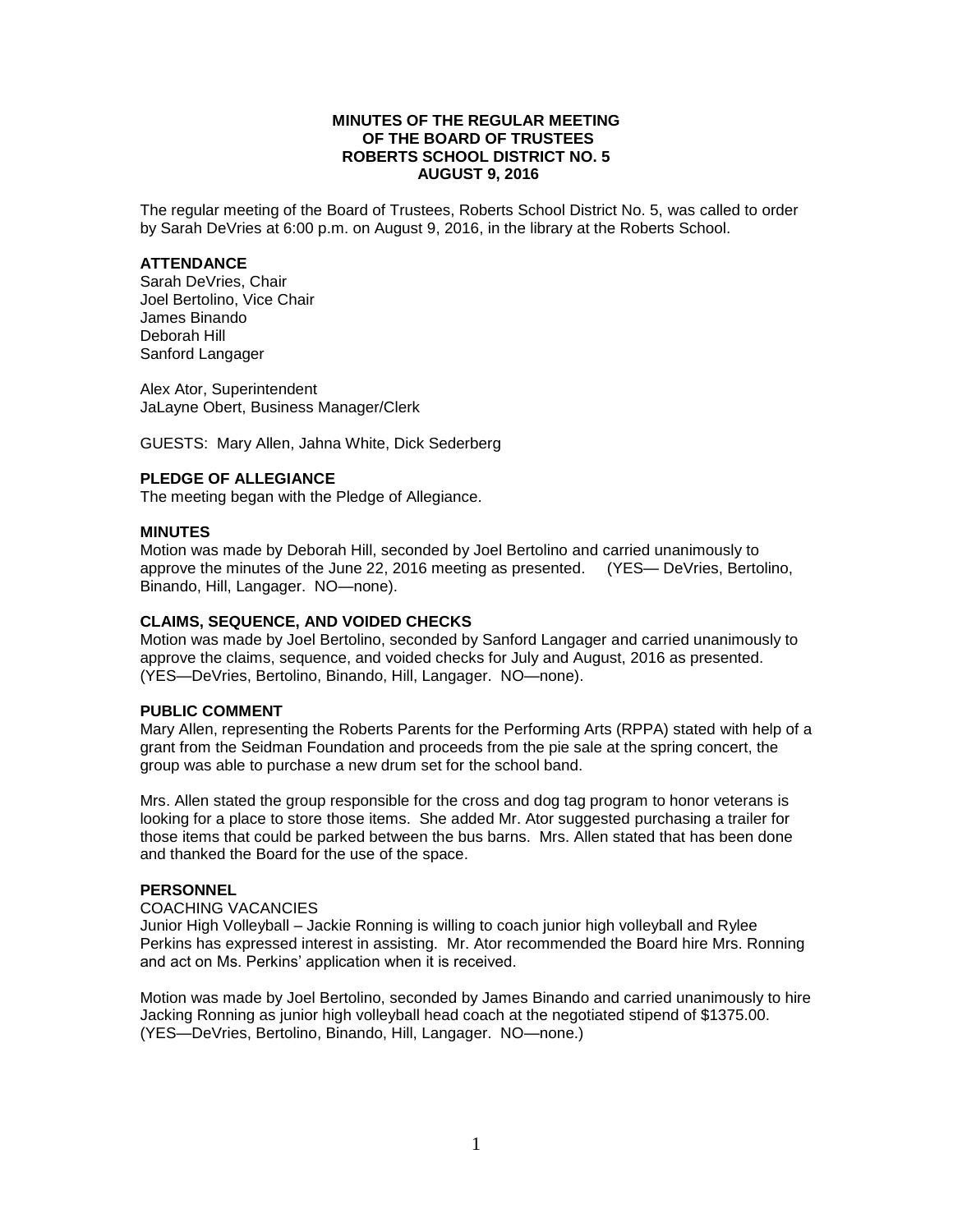# **MINUTES OF THE REGULAR MEETING OF THE BOARD OF TRUSTEES ROBERTS SCHOOL DISTRICT NO. 5 AUGUST 9, 2016**

The regular meeting of the Board of Trustees, Roberts School District No. 5, was called to order by Sarah DeVries at 6:00 p.m. on August 9, 2016, in the library at the Roberts School.

## **ATTENDANCE**

Sarah DeVries, Chair Joel Bertolino, Vice Chair James Binando Deborah Hill Sanford Langager

Alex Ator, Superintendent JaLayne Obert, Business Manager/Clerk

GUESTS: Mary Allen, Jahna White, Dick Sederberg

# **PLEDGE OF ALLEGIANCE**

The meeting began with the Pledge of Allegiance.

## **MINUTES**

Motion was made by Deborah Hill, seconded by Joel Bertolino and carried unanimously to approve the minutes of the June 22, 2016 meeting as presented. (YES— DeVries, Bertolino, Binando, Hill, Langager. NO—none).

## **CLAIMS, SEQUENCE, AND VOIDED CHECKS**

Motion was made by Joel Bertolino, seconded by Sanford Langager and carried unanimously to approve the claims, sequence, and voided checks for July and August, 2016 as presented. (YES—DeVries, Bertolino, Binando, Hill, Langager. NO—none).

#### **PUBLIC COMMENT**

Mary Allen, representing the Roberts Parents for the Performing Arts (RPPA) stated with help of a grant from the Seidman Foundation and proceeds from the pie sale at the spring concert, the group was able to purchase a new drum set for the school band.

Mrs. Allen stated the group responsible for the cross and dog tag program to honor veterans is looking for a place to store those items. She added Mr. Ator suggested purchasing a trailer for those items that could be parked between the bus barns. Mrs. Allen stated that has been done and thanked the Board for the use of the space.

#### **PERSONNEL**

#### COACHING VACANCIES

Junior High Volleyball – Jackie Ronning is willing to coach junior high volleyball and Rylee Perkins has expressed interest in assisting. Mr. Ator recommended the Board hire Mrs. Ronning and act on Ms. Perkins' application when it is received.

Motion was made by Joel Bertolino, seconded by James Binando and carried unanimously to hire Jacking Ronning as junior high volleyball head coach at the negotiated stipend of \$1375.00. (YES—DeVries, Bertolino, Binando, Hill, Langager. NO—none.)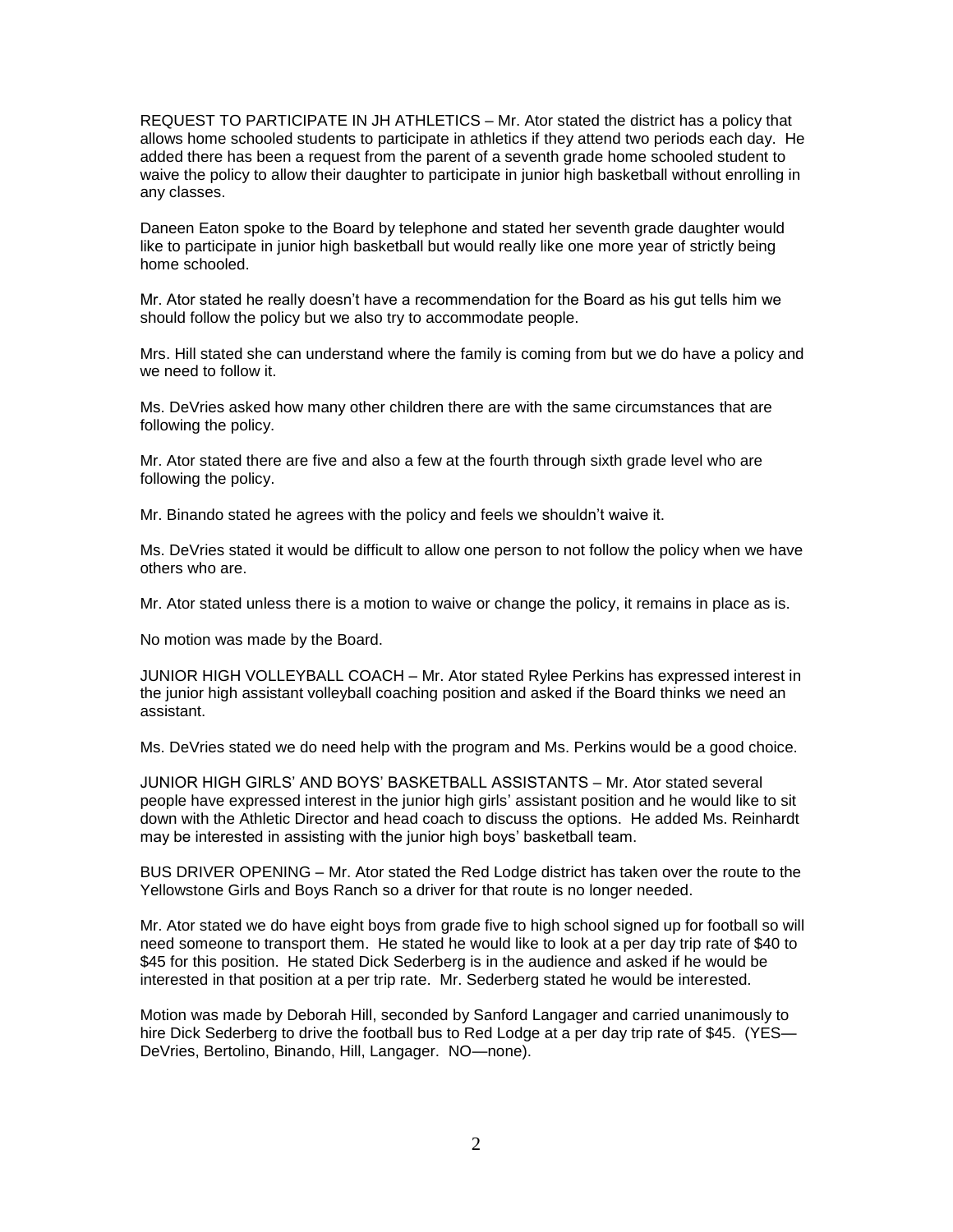REQUEST TO PARTICIPATE IN JH ATHLETICS – Mr. Ator stated the district has a policy that allows home schooled students to participate in athletics if they attend two periods each day. He added there has been a request from the parent of a seventh grade home schooled student to waive the policy to allow their daughter to participate in junior high basketball without enrolling in any classes.

Daneen Eaton spoke to the Board by telephone and stated her seventh grade daughter would like to participate in junior high basketball but would really like one more year of strictly being home schooled.

Mr. Ator stated he really doesn't have a recommendation for the Board as his gut tells him we should follow the policy but we also try to accommodate people.

Mrs. Hill stated she can understand where the family is coming from but we do have a policy and we need to follow it.

Ms. DeVries asked how many other children there are with the same circumstances that are following the policy.

Mr. Ator stated there are five and also a few at the fourth through sixth grade level who are following the policy.

Mr. Binando stated he agrees with the policy and feels we shouldn't waive it.

Ms. DeVries stated it would be difficult to allow one person to not follow the policy when we have others who are.

Mr. Ator stated unless there is a motion to waive or change the policy, it remains in place as is.

No motion was made by the Board.

JUNIOR HIGH VOLLEYBALL COACH – Mr. Ator stated Rylee Perkins has expressed interest in the junior high assistant volleyball coaching position and asked if the Board thinks we need an assistant.

Ms. DeVries stated we do need help with the program and Ms. Perkins would be a good choice.

JUNIOR HIGH GIRLS' AND BOYS' BASKETBALL ASSISTANTS – Mr. Ator stated several people have expressed interest in the junior high girls' assistant position and he would like to sit down with the Athletic Director and head coach to discuss the options. He added Ms. Reinhardt may be interested in assisting with the junior high boys' basketball team.

BUS DRIVER OPENING – Mr. Ator stated the Red Lodge district has taken over the route to the Yellowstone Girls and Boys Ranch so a driver for that route is no longer needed.

Mr. Ator stated we do have eight boys from grade five to high school signed up for football so will need someone to transport them. He stated he would like to look at a per day trip rate of \$40 to \$45 for this position. He stated Dick Sederberg is in the audience and asked if he would be interested in that position at a per trip rate. Mr. Sederberg stated he would be interested.

Motion was made by Deborah Hill, seconded by Sanford Langager and carried unanimously to hire Dick Sederberg to drive the football bus to Red Lodge at a per day trip rate of \$45. (YES— DeVries, Bertolino, Binando, Hill, Langager. NO—none).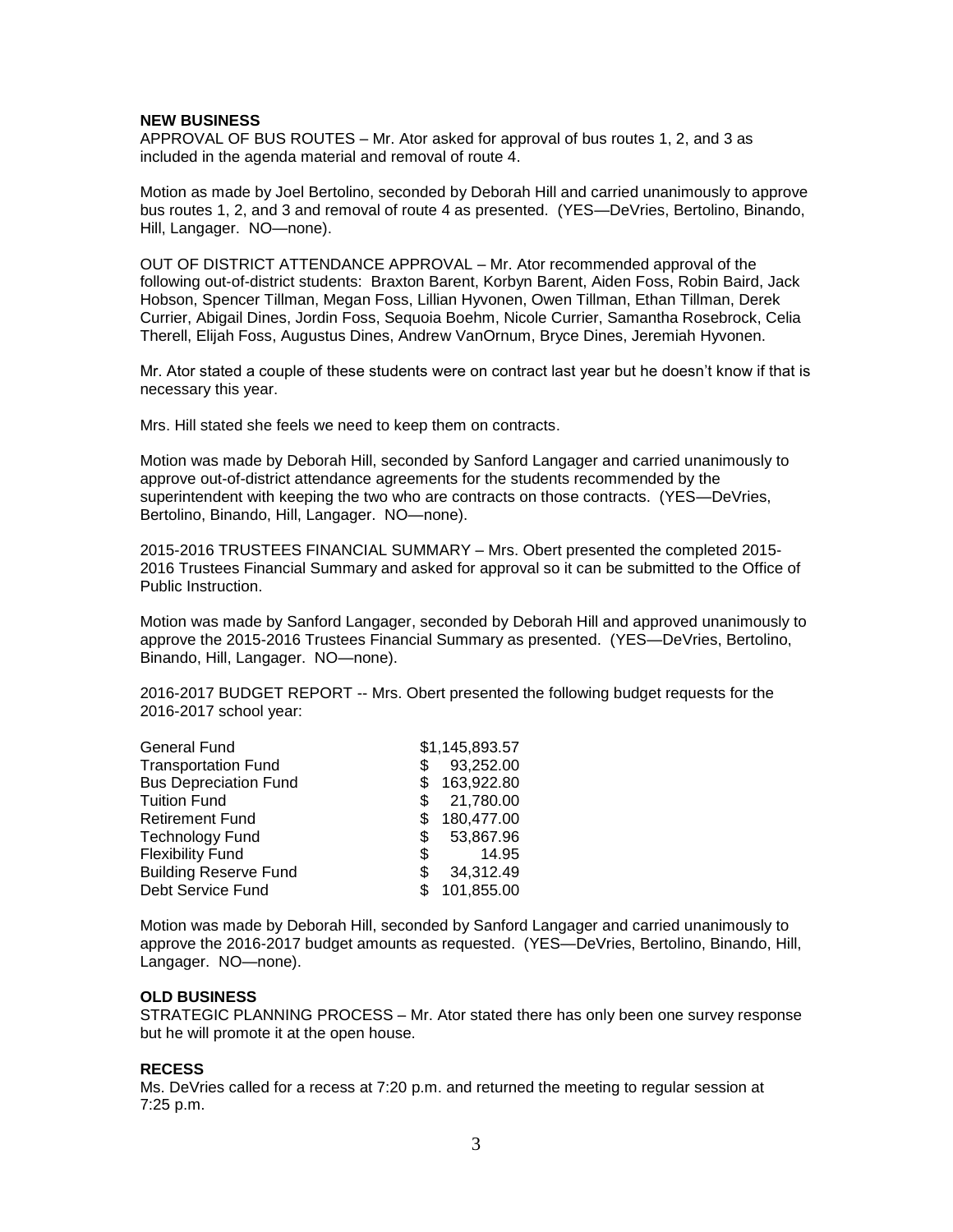#### **NEW BUSINESS**

APPROVAL OF BUS ROUTES – Mr. Ator asked for approval of bus routes 1, 2, and 3 as included in the agenda material and removal of route 4.

Motion as made by Joel Bertolino, seconded by Deborah Hill and carried unanimously to approve bus routes 1, 2, and 3 and removal of route 4 as presented. (YES—DeVries, Bertolino, Binando, Hill, Langager. NO—none).

OUT OF DISTRICT ATTENDANCE APPROVAL – Mr. Ator recommended approval of the following out-of-district students: Braxton Barent, Korbyn Barent, Aiden Foss, Robin Baird, Jack Hobson, Spencer Tillman, Megan Foss, Lillian Hyvonen, Owen Tillman, Ethan Tillman, Derek Currier, Abigail Dines, Jordin Foss, Sequoia Boehm, Nicole Currier, Samantha Rosebrock, Celia Therell, Elijah Foss, Augustus Dines, Andrew VanOrnum, Bryce Dines, Jeremiah Hyvonen.

Mr. Ator stated a couple of these students were on contract last year but he doesn't know if that is necessary this year.

Mrs. Hill stated she feels we need to keep them on contracts.

Motion was made by Deborah Hill, seconded by Sanford Langager and carried unanimously to approve out-of-district attendance agreements for the students recommended by the superintendent with keeping the two who are contracts on those contracts. (YES—DeVries, Bertolino, Binando, Hill, Langager. NO—none).

2015-2016 TRUSTEES FINANCIAL SUMMARY – Mrs. Obert presented the completed 2015- 2016 Trustees Financial Summary and asked for approval so it can be submitted to the Office of Public Instruction.

Motion was made by Sanford Langager, seconded by Deborah Hill and approved unanimously to approve the 2015-2016 Trustees Financial Summary as presented. (YES—DeVries, Bertolino, Binando, Hill, Langager. NO—none).

2016-2017 BUDGET REPORT -- Mrs. Obert presented the following budget requests for the 2016-2017 school year:

| <b>General Fund</b>          |   | \$1,145,893.57 |
|------------------------------|---|----------------|
| <b>Transportation Fund</b>   | S | 93,252.00      |
| <b>Bus Depreciation Fund</b> |   | 163,922.80     |
| <b>Tuition Fund</b>          |   | 21,780.00      |
| <b>Retirement Fund</b>       |   | 180,477.00     |
| <b>Technology Fund</b>       | S | 53,867.96      |
| <b>Flexibility Fund</b>      | S | 14.95          |
| <b>Building Reserve Fund</b> | S | 34,312.49      |
| Debt Service Fund            |   | 101,855.00     |

Motion was made by Deborah Hill, seconded by Sanford Langager and carried unanimously to approve the 2016-2017 budget amounts as requested. (YES—DeVries, Bertolino, Binando, Hill, Langager. NO—none).

# **OLD BUSINESS**

STRATEGIC PLANNING PROCESS – Mr. Ator stated there has only been one survey response but he will promote it at the open house.

#### **RECESS**

Ms. DeVries called for a recess at 7:20 p.m. and returned the meeting to regular session at 7:25 p.m.